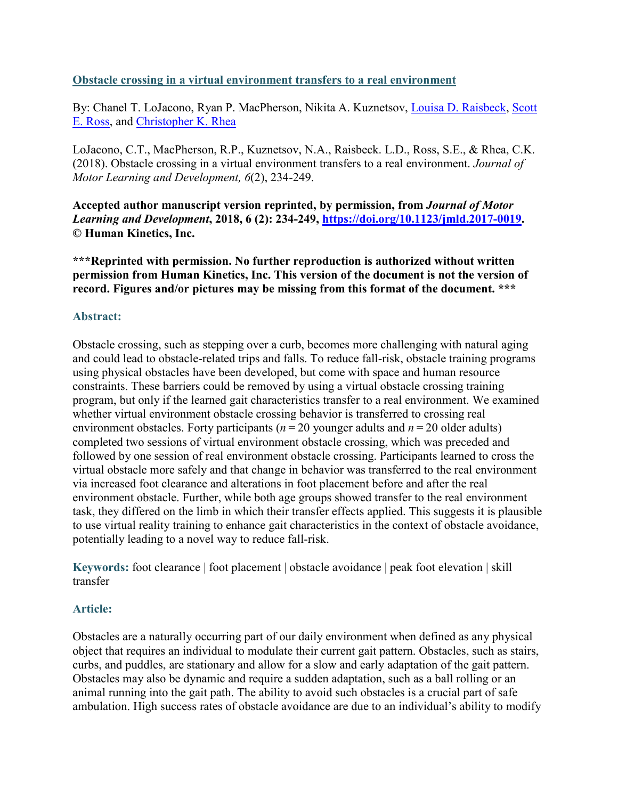#### **Obstacle crossing in a virtual environment transfers to a real environment**

By: Chanel T. LoJacono, Ryan P. MacPherson, Nikita A. Kuznetsov, [Louisa D. Raisbeck,](https://libres.uncg.edu/ir/uncg/clist.aspx?id=20552) [Scott](https://libres.uncg.edu/ir/uncg/clist.aspx?id=13622)  [E. Ross,](https://libres.uncg.edu/ir/uncg/clist.aspx?id=13622) and [Christopher K. Rhea](https://libres.uncg.edu/ir/uncg/clist.aspx?id=4019)

LoJacono, C.T., MacPherson, R.P., Kuznetsov, N.A., Raisbeck. L.D., Ross, S.E., & Rhea, C.K. (2018). Obstacle crossing in a virtual environment transfers to a real environment. *Journal of Motor Learning and Development, 6*(2), 234-249.

**Accepted author manuscript version reprinted, by permission, from** *Journal of Motor Learning and Development***, 2018, 6 (2): 234-249, [https://doi.org/10.1123/jmld.2017-0019.](https://doi.org/10.1123/jmld.2017-0019) © Human Kinetics, Inc.**

**\*\*\*Reprinted with permission. No further reproduction is authorized without written permission from Human Kinetics, Inc. This version of the document is not the version of record. Figures and/or pictures may be missing from this format of the document. \*\*\***

#### **Abstract:**

Obstacle crossing, such as stepping over a curb, becomes more challenging with natural aging and could lead to obstacle-related trips and falls. To reduce fall-risk, obstacle training programs using physical obstacles have been developed, but come with space and human resource constraints. These barriers could be removed by using a virtual obstacle crossing training program, but only if the learned gait characteristics transfer to a real environment. We examined whether virtual environment obstacle crossing behavior is transferred to crossing real environment obstacles. Forty participants ( $n = 20$  younger adults and  $n = 20$  older adults) completed two sessions of virtual environment obstacle crossing, which was preceded and followed by one session of real environment obstacle crossing. Participants learned to cross the virtual obstacle more safely and that change in behavior was transferred to the real environment via increased foot clearance and alterations in foot placement before and after the real environment obstacle. Further, while both age groups showed transfer to the real environment task, they differed on the limb in which their transfer effects applied. This suggests it is plausible to use virtual reality training to enhance gait characteristics in the context of obstacle avoidance, potentially leading to a novel way to reduce fall-risk.

**Keywords:** foot clearance | foot placement | obstacle avoidance | peak foot elevation | skill transfer

# **Article:**

Obstacles are a naturally occurring part of our daily environment when defined as any physical object that requires an individual to modulate their current gait pattern. Obstacles, such as stairs, curbs, and puddles, are stationary and allow for a slow and early adaptation of the gait pattern. Obstacles may also be dynamic and require a sudden adaptation, such as a ball rolling or an animal running into the gait path. The ability to avoid such obstacles is a crucial part of safe ambulation. High success rates of obstacle avoidance are due to an individual's ability to modify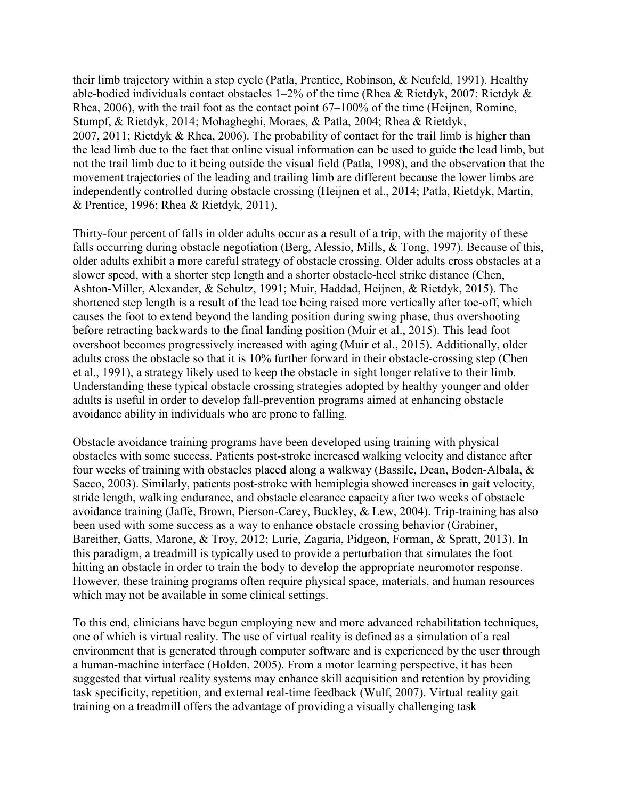their limb trajectory within a step cycle (Patla, Prentice, Robinson, & Neufeld, 1991). Healthy able-bodied individuals contact obstacles 1–2% of the time (Rhea & Rietdyk, 2007; Rietdyk & Rhea, 2006), with the trail foot as the contact point 67–100% of the time (Heijnen, Romine, Stumpf, & Rietdyk, 2014; Mohagheghi, Moraes, & Patla, 2004; Rhea & Rietdyk, 2007, 2011; Rietdyk & Rhea, 2006). The probability of contact for the trail limb is higher than the lead limb due to the fact that online visual information can be used to guide the lead limb, but not the trail limb due to it being outside the visual field (Patla, 1998), and the observation that the movement trajectories of the leading and trailing limb are different because the lower limbs are independently controlled during obstacle crossing (Heijnen et al., 2014; Patla, Rietdyk, Martin, & Prentice, 1996; Rhea & Rietdyk, 2011).

Thirty-four percent of falls in older adults occur as a result of a trip, with the majority of these falls occurring during obstacle negotiation (Berg, Alessio, Mills, & Tong, 1997). Because of this, older adults exhibit a more careful strategy of obstacle crossing. Older adults cross obstacles at a slower speed, with a shorter step length and a shorter obstacle-heel strike distance (Chen, Ashton-Miller, Alexander, & Schultz, 1991; Muir, Haddad, Heijnen, & Rietdyk, 2015). The shortened step length is a result of the lead toe being raised more vertically after toe-off, which causes the foot to extend beyond the landing position during swing phase, thus overshooting before retracting backwards to the final landing position (Muir et al., 2015). This lead foot overshoot becomes progressively increased with aging (Muir et al., 2015). Additionally, older adults cross the obstacle so that it is 10% further forward in their obstacle-crossing step (Chen et al., 1991), a strategy likely used to keep the obstacle in sight longer relative to their limb. Understanding these typical obstacle crossing strategies adopted by healthy younger and older adults is useful in order to develop fall-prevention programs aimed at enhancing obstacle avoidance ability in individuals who are prone to falling.

Obstacle avoidance training programs have been developed using training with physical obstacles with some success. Patients post-stroke increased walking velocity and distance after four weeks of training with obstacles placed along a walkway (Bassile, Dean, Boden-Albala, & Sacco, 2003). Similarly, patients post-stroke with hemiplegia showed increases in gait velocity, stride length, walking endurance, and obstacle clearance capacity after two weeks of obstacle avoidance training (Jaffe, Brown, Pierson-Carey, Buckley, & Lew, 2004). Trip-training has also been used with some success as a way to enhance obstacle crossing behavior (Grabiner, Bareither, Gatts, Marone, & Troy, 2012; Lurie, Zagaria, Pidgeon, Forman, & Spratt, 2013). In this paradigm, a treadmill is typically used to provide a perturbation that simulates the foot hitting an obstacle in order to train the body to develop the appropriate neuromotor response. However, these training programs often require physical space, materials, and human resources which may not be available in some clinical settings.

To this end, clinicians have begun employing new and more advanced rehabilitation techniques, one of which is virtual reality. The use of virtual reality is defined as a simulation of a real environment that is generated through computer software and is experienced by the user through a human-machine interface (Holden, 2005). From a motor learning perspective, it has been suggested that virtual reality systems may enhance skill acquisition and retention by providing task specificity, repetition, and external real-time feedback (Wulf, 2007). Virtual reality gait training on a treadmill offers the advantage of providing a visually challenging task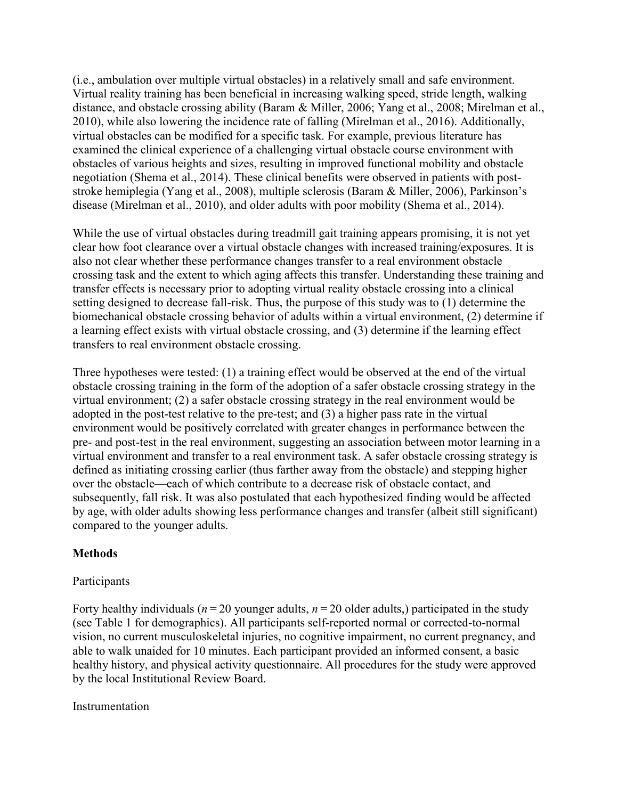(i.e., ambulation over multiple virtual obstacles) in a relatively small and safe environment. Virtual reality training has been beneficial in increasing walking speed, stride length, walking distance, and obstacle crossing ability (Baram & Miller, 2006; Yang et al., 2008; Mirelman et al., 2010), while also lowering the incidence rate of falling (Mirelman et al., 2016). Additionally, virtual obstacles can be modified for a specific task. For example, previous literature has examined the clinical experience of a challenging virtual obstacle course environment with obstacles of various heights and sizes, resulting in improved functional mobility and obstacle negotiation (Shema et al., 2014). These clinical benefits were observed in patients with poststroke hemiplegia (Yang et al., 2008), multiple sclerosis (Baram & Miller, 2006), Parkinson's disease (Mirelman et al., 2010), and older adults with poor mobility (Shema et al., 2014).

While the use of virtual obstacles during treadmill gait training appears promising, it is not yet clear how foot clearance over a virtual obstacle changes with increased training/exposures. It is also not clear whether these performance changes transfer to a real environment obstacle crossing task and the extent to which aging affects this transfer. Understanding these training and transfer effects is necessary prior to adopting virtual reality obstacle crossing into a clinical setting designed to decrease fall-risk. Thus, the purpose of this study was to (1) determine the biomechanical obstacle crossing behavior of adults within a virtual environment, (2) determine if a learning effect exists with virtual obstacle crossing, and (3) determine if the learning effect transfers to real environment obstacle crossing.

Three hypotheses were tested: (1) a training effect would be observed at the end of the virtual obstacle crossing training in the form of the adoption of a safer obstacle crossing strategy in the virtual environment; (2) a safer obstacle crossing strategy in the real environment would be adopted in the post-test relative to the pre-test; and (3) a higher pass rate in the virtual environment would be positively correlated with greater changes in performance between the pre- and post-test in the real environment, suggesting an association between motor learning in a virtual environment and transfer to a real environment task. A safer obstacle crossing strategy is defined as initiating crossing earlier (thus farther away from the obstacle) and stepping higher over the obstacle—each of which contribute to a decrease risk of obstacle contact, and subsequently, fall risk. It was also postulated that each hypothesized finding would be affected by age, with older adults showing less performance changes and transfer (albeit still significant) compared to the younger adults.

# **Methods**

# Participants

Forty healthy individuals ( $n = 20$  younger adults,  $n = 20$  older adults,) participated in the study (see Table 1 for demographics). All participants self-reported normal or corrected-to-normal vision, no current musculoskeletal injuries, no cognitive impairment, no current pregnancy, and able to walk unaided for 10 minutes. Each participant provided an informed consent, a basic healthy history, and physical activity questionnaire. All procedures for the study were approved by the local Institutional Review Board.

#### Instrumentation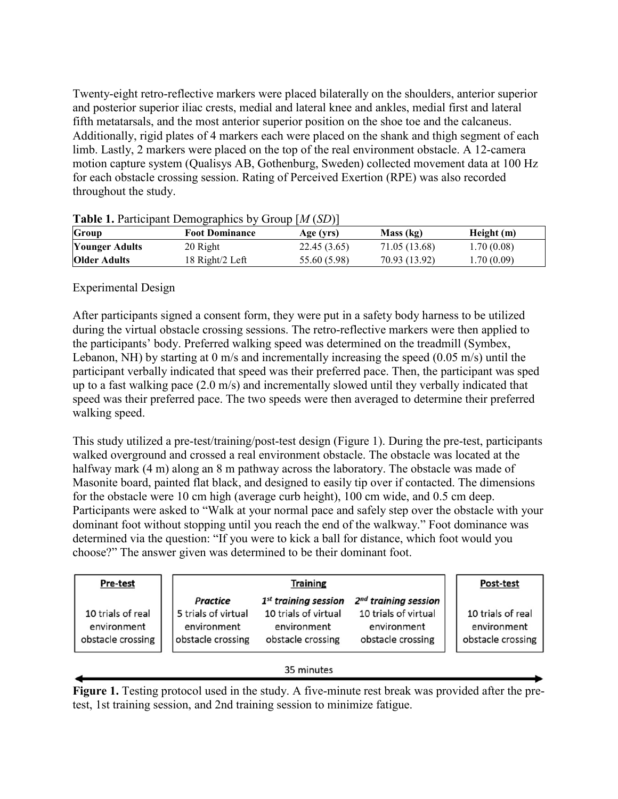Twenty-eight retro-reflective markers were placed bilaterally on the shoulders, anterior superior and posterior superior iliac crests, medial and lateral knee and ankles, medial first and lateral fifth metatarsals, and the most anterior superior position on the shoe toe and the calcaneus. Additionally, rigid plates of 4 markers each were placed on the shank and thigh segment of each limb. Lastly, 2 markers were placed on the top of the real environment obstacle. A 12-camera motion capture system (Qualisys AB, Gothenburg, Sweden) collected movement data at 100 Hz for each obstacle crossing session. Rating of Perceived Exertion (RPE) was also recorded throughout the study.

| Group               | <b>Foot Dominance</b> | Age (yrs)    | Mass (kg)     | Height (m)  |
|---------------------|-----------------------|--------------|---------------|-------------|
| Younger Adults      | 20 Right              | 22.45 (3.65) | 71.05 (13.68) | 1.70(0.08)  |
| <b>Older Adults</b> | 18 Right/2 Left       | 55.60 (5.98) | 70.93 (13.92) | 1.70 (0.09) |

**Table 1.** Participant Demographics by Group [*M* (*SD*)]

#### Experimental Design

After participants signed a consent form, they were put in a safety body harness to be utilized during the virtual obstacle crossing sessions. The retro-reflective markers were then applied to the participants' body. Preferred walking speed was determined on the treadmill (Symbex, Lebanon, NH) by starting at 0 m/s and incrementally increasing the speed (0.05 m/s) until the participant verbally indicated that speed was their preferred pace. Then, the participant was sped up to a fast walking pace (2.0 m/s) and incrementally slowed until they verbally indicated that speed was their preferred pace. The two speeds were then averaged to determine their preferred walking speed.

This study utilized a pre-test/training/post-test design (Figure 1). During the pre-test, participants walked overground and crossed a real environment obstacle. The obstacle was located at the halfway mark (4 m) along an 8 m pathway across the laboratory. The obstacle was made of Masonite board, painted flat black, and designed to easily tip over if contacted. The dimensions for the obstacle were 10 cm high (average curb height), 100 cm wide, and 0.5 cm deep. Participants were asked to "Walk at your normal pace and safely step over the obstacle with your dominant foot without stopping until you reach the end of the walkway." Foot dominance was determined via the question: "If you were to kick a ball for distance, which foot would you choose?" The answer given was determined to be their dominant foot.

| $2nd$ training session<br>$1st$ training session<br>Practice                                                                                 | Post-test                        |
|----------------------------------------------------------------------------------------------------------------------------------------------|----------------------------------|
| 10 trials of virtual<br>5 trials of virtual<br>10 trials of virtual<br>10 trials of real                                                     | 10 trials of real                |
| environment<br>environment<br>environment<br>environment<br>obstacle crossing<br>obstacle crossing<br>obstacle crossing<br>obstacle crossing | environment<br>obstacle crossing |

35 minutes

Figure 1. Testing protocol used in the study. A five-minute rest break was provided after the pretest, 1st training session, and 2nd training session to minimize fatigue.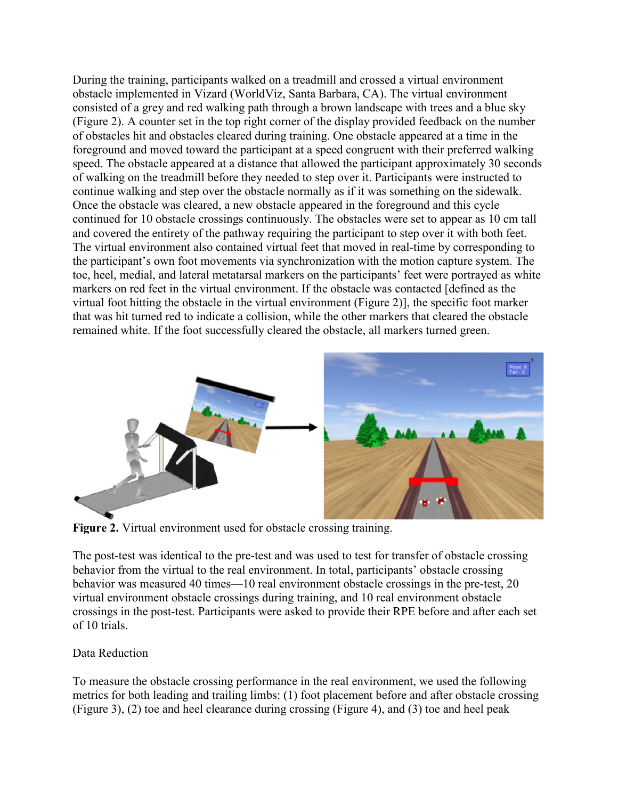During the training, participants walked on a treadmill and crossed a virtual environment obstacle implemented in Vizard (WorldViz, Santa Barbara, CA). The virtual environment consisted of a grey and red walking path through a brown landscape with trees and a blue sky (Figure 2). A counter set in the top right corner of the display provided feedback on the number of obstacles hit and obstacles cleared during training. One obstacle appeared at a time in the foreground and moved toward the participant at a speed congruent with their preferred walking speed. The obstacle appeared at a distance that allowed the participant approximately 30 seconds of walking on the treadmill before they needed to step over it. Participants were instructed to continue walking and step over the obstacle normally as if it was something on the sidewalk. Once the obstacle was cleared, a new obstacle appeared in the foreground and this cycle continued for 10 obstacle crossings continuously. The obstacles were set to appear as 10 cm tall and covered the entirety of the pathway requiring the participant to step over it with both feet. The virtual environment also contained virtual feet that moved in real-time by corresponding to the participant's own foot movements via synchronization with the motion capture system. The toe, heel, medial, and lateral metatarsal markers on the participants' feet were portrayed as white markers on red feet in the virtual environment. If the obstacle was contacted [defined as the virtual foot hitting the obstacle in the virtual environment (Figure 2)], the specific foot marker that was hit turned red to indicate a collision, while the other markers that cleared the obstacle remained white. If the foot successfully cleared the obstacle, all markers turned green.



**Figure 2.** Virtual environment used for obstacle crossing training.

The post-test was identical to the pre-test and was used to test for transfer of obstacle crossing behavior from the virtual to the real environment. In total, participants' obstacle crossing behavior was measured 40 times—10 real environment obstacle crossings in the pre-test, 20 virtual environment obstacle crossings during training, and 10 real environment obstacle crossings in the post-test. Participants were asked to provide their RPE before and after each set of 10 trials.

# Data Reduction

To measure the obstacle crossing performance in the real environment, we used the following metrics for both leading and trailing limbs: (1) foot placement before and after obstacle crossing (Figure 3), (2) toe and heel clearance during crossing (Figure 4), and (3) toe and heel peak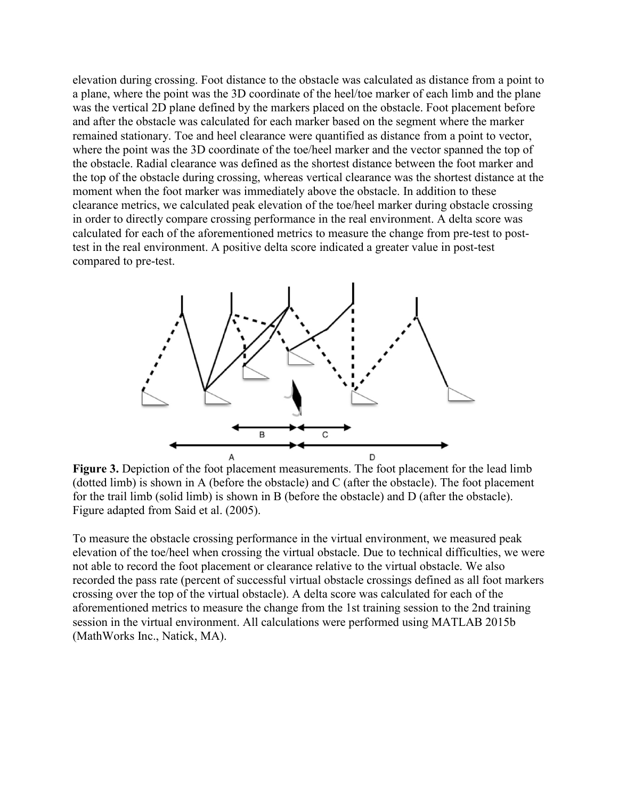elevation during crossing. Foot distance to the obstacle was calculated as distance from a point to a plane, where the point was the 3D coordinate of the heel/toe marker of each limb and the plane was the vertical 2D plane defined by the markers placed on the obstacle. Foot placement before and after the obstacle was calculated for each marker based on the segment where the marker remained stationary. Toe and heel clearance were quantified as distance from a point to vector, where the point was the 3D coordinate of the toe/heel marker and the vector spanned the top of the obstacle. Radial clearance was defined as the shortest distance between the foot marker and the top of the obstacle during crossing, whereas vertical clearance was the shortest distance at the moment when the foot marker was immediately above the obstacle. In addition to these clearance metrics, we calculated peak elevation of the toe/heel marker during obstacle crossing in order to directly compare crossing performance in the real environment. A delta score was calculated for each of the aforementioned metrics to measure the change from pre-test to posttest in the real environment. A positive delta score indicated a greater value in post-test compared to pre-test.



Figure 3. Depiction of the foot placement measurements. The foot placement for the lead limb (dotted limb) is shown in A (before the obstacle) and C (after the obstacle). The foot placement for the trail limb (solid limb) is shown in B (before the obstacle) and D (after the obstacle). Figure adapted from Said et al. (2005).

To measure the obstacle crossing performance in the virtual environment, we measured peak elevation of the toe/heel when crossing the virtual obstacle. Due to technical difficulties, we were not able to record the foot placement or clearance relative to the virtual obstacle. We also recorded the pass rate (percent of successful virtual obstacle crossings defined as all foot markers crossing over the top of the virtual obstacle). A delta score was calculated for each of the aforementioned metrics to measure the change from the 1st training session to the 2nd training session in the virtual environment. All calculations were performed using MATLAB 2015b (MathWorks Inc., Natick, MA).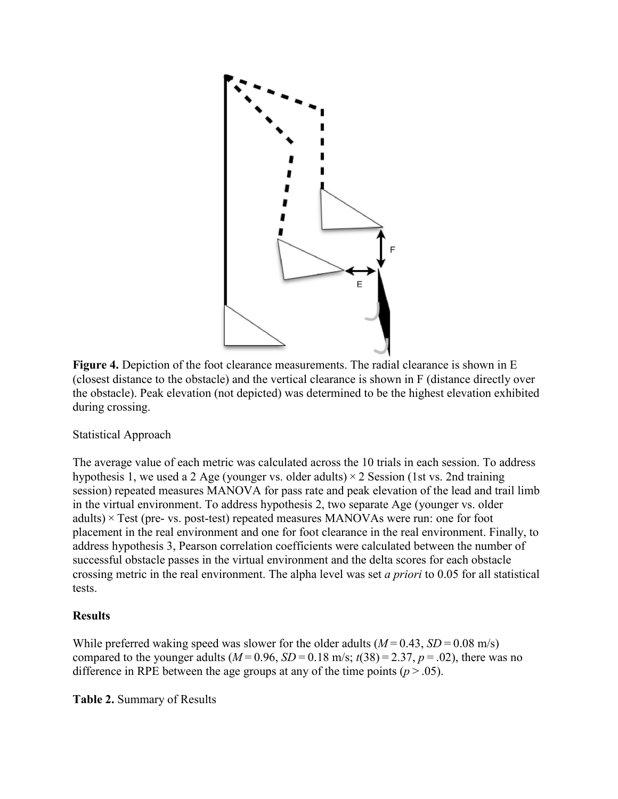

Figure 4. Depiction of the foot clearance measurements. The radial clearance is shown in E (closest distance to the obstacle) and the vertical clearance is shown in F (distance directly over the obstacle). Peak elevation (not depicted) was determined to be the highest elevation exhibited during crossing.

# Statistical Approach

The average value of each metric was calculated across the 10 trials in each session. To address hypothesis 1, we used a 2 Age (younger vs. older adults)  $\times$  2 Session (1st vs. 2nd training session) repeated measures MANOVA for pass rate and peak elevation of the lead and trail limb in the virtual environment. To address hypothesis 2, two separate Age (younger vs. older adults) × Test (pre- vs. post-test) repeated measures MANOVAs were run: one for foot placement in the real environment and one for foot clearance in the real environment. Finally, to address hypothesis 3, Pearson correlation coefficients were calculated between the number of successful obstacle passes in the virtual environment and the delta scores for each obstacle crossing metric in the real environment. The alpha level was set *a priori* to 0.05 for all statistical tests.

# **Results**

While preferred waking speed was slower for the older adults  $(M=0.43, SD=0.08 \text{ m/s})$ compared to the younger adults ( $M = 0.96$ ,  $SD = 0.18$  m/s;  $t(38) = 2.37$ ,  $p = .02$ ), there was no difference in RPE between the age groups at any of the time points  $(p > .05)$ .

**Table 2.** Summary of Results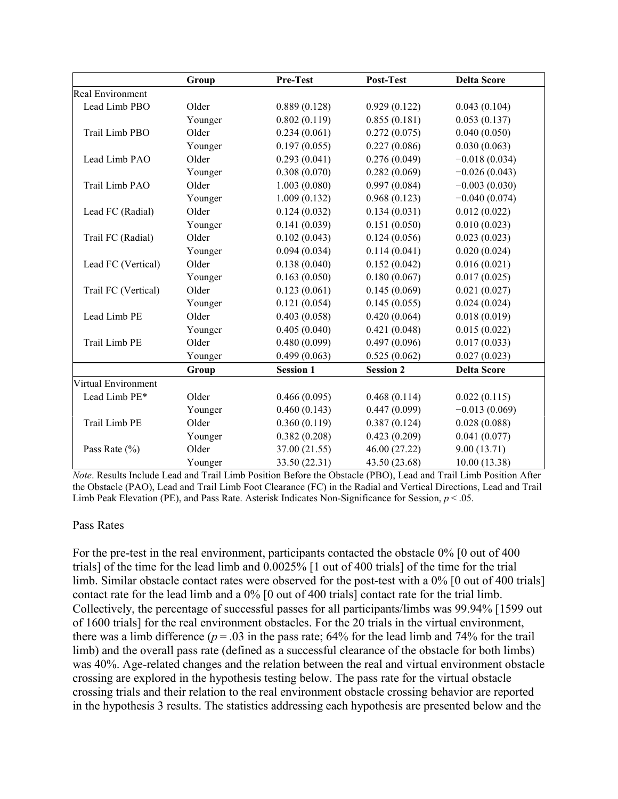|                     | Group   | Pre-Test         | Post-Test        | <b>Delta Score</b> |
|---------------------|---------|------------------|------------------|--------------------|
| Real Environment    |         |                  |                  |                    |
| Lead Limb PBO       | Older   | 0.889(0.128)     | 0.929(0.122)     | 0.043(0.104)       |
|                     | Younger | 0.802(0.119)     | 0.855(0.181)     | 0.053(0.137)       |
| Trail Limb PBO      | Older   | 0.234(0.061)     | 0.272(0.075)     | 0.040(0.050)       |
|                     | Younger | 0.197(0.055)     | 0.227(0.086)     | 0.030(0.063)       |
| Lead Limb PAO       | Older   | 0.293(0.041)     | 0.276(0.049)     | $-0.018(0.034)$    |
|                     | Younger | 0.308(0.070)     | 0.282(0.069)     | $-0.026(0.043)$    |
| Trail Limb PAO      | Older   | 1.003(0.080)     | 0.997(0.084)     | $-0.003(0.030)$    |
|                     | Younger | 1.009(0.132)     | 0.968(0.123)     | $-0.040(0.074)$    |
| Lead FC (Radial)    | Older   | 0.124(0.032)     | 0.134(0.031)     | 0.012(0.022)       |
|                     | Younger | 0.141(0.039)     | 0.151(0.050)     | 0.010(0.023)       |
| Trail FC (Radial)   | Older   | 0.102(0.043)     | 0.124(0.056)     | 0.023(0.023)       |
|                     | Younger | 0.094(0.034)     | 0.114(0.041)     | 0.020(0.024)       |
| Lead FC (Vertical)  | Older   | 0.138(0.040)     | 0.152(0.042)     | 0.016(0.021)       |
|                     | Younger | 0.163(0.050)     | 0.180(0.067)     | 0.017(0.025)       |
| Trail FC (Vertical) | Older   | 0.123(0.061)     | 0.145(0.069)     | 0.021(0.027)       |
|                     | Younger | 0.121(0.054)     | 0.145(0.055)     | 0.024(0.024)       |
| Lead Limb PE        | Older   | 0.403(0.058)     | 0.420(0.064)     | 0.018(0.019)       |
|                     | Younger | 0.405(0.040)     | 0.421(0.048)     | 0.015(0.022)       |
| Trail Limb PE       | Older   | 0.480(0.099)     | 0.497(0.096)     | 0.017(0.033)       |
|                     | Younger | 0.499(0.063)     | 0.525(0.062)     | 0.027(0.023)       |
|                     | Group   | <b>Session 1</b> | <b>Session 2</b> | <b>Delta Score</b> |
| Virtual Environment |         |                  |                  |                    |
| Lead Limb PE*       | Older   | 0.466(0.095)     | 0.468(0.114)     | 0.022(0.115)       |
|                     | Younger | 0.460(0.143)     | 0.447(0.099)     | $-0.013(0.069)$    |
| Trail Limb PE       | Older   | 0.360(0.119)     | 0.387(0.124)     | 0.028(0.088)       |
|                     | Younger | 0.382(0.208)     | 0.423(0.209)     | 0.041(0.077)       |
| Pass Rate $(\% )$   | Older   | 37.00 (21.55)    | 46.00 (27.22)    | 9.00(13.71)        |
|                     | Younger | 33.50 (22.31)    | 43.50 (23.68)    | 10.00(13.38)       |

*Note*. Results Include Lead and Trail Limb Position Before the Obstacle (PBO), Lead and Trail Limb Position After the Obstacle (PAO), Lead and Trail Limb Foot Clearance (FC) in the Radial and Vertical Directions, Lead and Trail Limb Peak Elevation (PE), and Pass Rate. Asterisk Indicates Non-Significance for Session,  $p < .05$ .

#### Pass Rates

For the pre-test in the real environment, participants contacted the obstacle 0% [0 out of 400 trials] of the time for the lead limb and 0.0025% [1 out of 400 trials] of the time for the trial limb. Similar obstacle contact rates were observed for the post-test with a 0% [0 out of 400 trials] contact rate for the lead limb and a 0% [0 out of 400 trials] contact rate for the trial limb. Collectively, the percentage of successful passes for all participants/limbs was 99.94% [1599 out of 1600 trials] for the real environment obstacles. For the 20 trials in the virtual environment, there was a limb difference ( $p = .03$  in the pass rate; 64% for the lead limb and 74% for the trail limb) and the overall pass rate (defined as a successful clearance of the obstacle for both limbs) was 40%. Age-related changes and the relation between the real and virtual environment obstacle crossing are explored in the hypothesis testing below. The pass rate for the virtual obstacle crossing trials and their relation to the real environment obstacle crossing behavior are reported in the hypothesis 3 results. The statistics addressing each hypothesis are presented below and the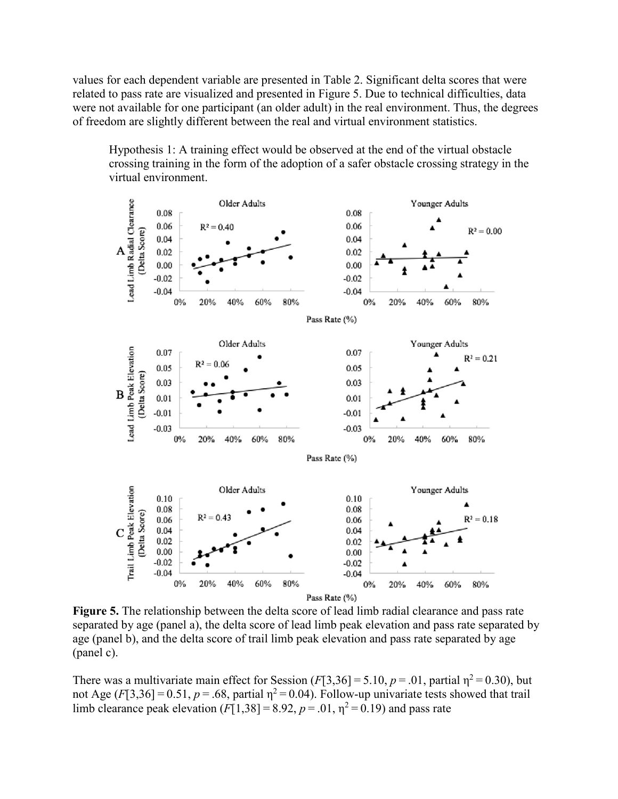values for each dependent variable are presented in Table 2. Significant delta scores that were related to pass rate are visualized and presented in Figure 5. Due to technical difficulties, data were not available for one participant (an older adult) in the real environment. Thus, the degrees of freedom are slightly different between the real and virtual environment statistics.

Older Adults Lead Limb Radial Clearance Younger Adults 0.08 0.08 0.06  $R^2 = 0.40$ 0.06 Delta Score)  $R^2 = 0.00$  $0.04$ 0.04  $0.02$ 0.02  $0.00$  $0.00$  $-0.02$  $-0.02$  $-0.04$  $-0.04$ 60% 0% 20% 40% 80% 0% 20% 40% 60% 80% Pass Rate (%) Older Adults Younger Adults Lead Limb Peak Elevation 0.07 0.07  $R^2 = 0.21$  $R^2 = 0.06$  $0.05$ 0.05 (Delta Score)  $0.03$ 0.03  $0.01$ 0.01  $-0.01$  $-0.01$  $-0.03$  $-0.03$ 0% 20% 40% 60% 80% 0% 20% 40% 60% 80% Pass Rate (%)

Hypothesis 1: A training effect would be observed at the end of the virtual obstacle crossing training in the form of the adoption of a safer obstacle crossing strategy in the virtual environment.



**Figure 5.** The relationship between the delta score of lead limb radial clearance and pass rate separated by age (panel a), the delta score of lead limb peak elevation and pass rate separated by age (panel b), and the delta score of trail limb peak elevation and pass rate separated by age (panel c).

There was a multivariate main effect for Session ( $F[3,36] = 5.10$ ,  $p = .01$ , partial  $\eta^2 = 0.30$ ), but not Age ( $F[3,36] = 0.51$ ,  $p = .68$ , partial  $\eta^2 = 0.04$ ). Follow-up univariate tests showed that trail limb clearance peak elevation  $(F[1,38] = 8.92, p = .01, \eta^2 = 0.19)$  and pass rate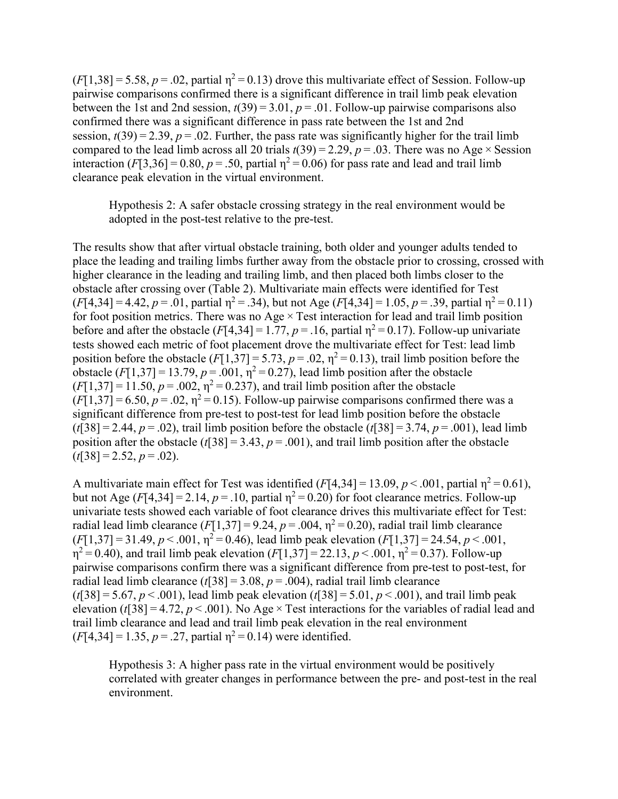$(F[1,38] = 5.58, p = .02$ , partial  $\eta^2 = 0.13$ ) drove this multivariate effect of Session. Follow-up pairwise comparisons confirmed there is a significant difference in trail limb peak elevation between the 1st and 2nd session,  $t(39) = 3.01$ ,  $p = .01$ . Follow-up pairwise comparisons also confirmed there was a significant difference in pass rate between the 1st and 2nd session,  $t(39) = 2.39$ ,  $p = .02$ . Further, the pass rate was significantly higher for the trail limb compared to the lead limb across all 20 trials  $t(39) = 2.29$ ,  $p = .03$ . There was no Age  $\times$  Session interaction (*F*[3,36] = 0.80, *p* = .50, partial  $\eta^2$  = 0.06) for pass rate and lead and trail limb clearance peak elevation in the virtual environment.

Hypothesis 2: A safer obstacle crossing strategy in the real environment would be adopted in the post-test relative to the pre-test.

The results show that after virtual obstacle training, both older and younger adults tended to place the leading and trailing limbs further away from the obstacle prior to crossing, crossed with higher clearance in the leading and trailing limb, and then placed both limbs closer to the obstacle after crossing over (Table 2). Multivariate main effects were identified for Test  $(F[4,34] = 4.42, p = .01$ , partial  $p^2 = .34$ ), but not Age  $(F[4,34] = 1.05, p = .39$ , partial  $p^2 = 0.11$ ) for foot position metrics. There was no  $Age \times Test$  interaction for lead and trail limb position before and after the obstacle  $(F[4,34] = 1.77, p = .16$ , partial  $p^2 = 0.17$ ). Follow-up univariate tests showed each metric of foot placement drove the multivariate effect for Test: lead limb position before the obstacle  $(F[1,37] = 5.73, p = .02, \eta^2 = 0.13)$ , trail limb position before the obstacle ( $F[1,37] = 13.79$ ,  $p = .001$ ,  $p^2 = 0.27$ ), lead limb position after the obstacle  $(F[1,37] = 11.50, p = .002, \eta^2 = 0.237)$ , and trail limb position after the obstacle  $(F[1,37] = 6.50, p = .02, \eta^2 = 0.15)$ . Follow-up pairwise comparisons confirmed there was a significant difference from pre-test to post-test for lead limb position before the obstacle  $(t[38] = 2.44, p = .02)$ , trail limb position before the obstacle  $(t[38] = 3.74, p = .001)$ , lead limb position after the obstacle ( $t$ [38] = 3.43,  $p = .001$ ), and trail limb position after the obstacle  $(t[38] = 2.52, p = .02).$ 

A multivariate main effect for Test was identified  $(F[4,34] = 13.09, p < .001,$  partial  $\eta^2 = 0.61$ ), but not Age ( $F[4,34] = 2.14$ ,  $p = .10$ , partial  $\eta^2 = 0.20$ ) for foot clearance metrics. Follow-up univariate tests showed each variable of foot clearance drives this multivariate effect for Test: radial lead limb clearance  $(F[1,37] = 9.24, p = .004, \eta^2 = 0.20)$ , radial trail limb clearance  $(F[1,37] = 31.49, p < .001, n^2 = 0.46$ , lead limb peak elevation  $(F[1,37] = 24.54, p < .001$ ,  $\eta^2 = 0.40$ ), and trail limb peak elevation (*F*[1,37] = 22.13, *p* < .001,  $\eta^2 = 0.37$ ). Follow-up pairwise comparisons confirm there was a significant difference from pre-test to post-test, for radial lead limb clearance  $(t[38] = 3.08, p = .004)$ , radial trail limb clearance  $(t[38] = 5.67, p < .001)$ , lead limb peak elevation  $(t[38] = 5.01, p < .001)$ , and trail limb peak elevation ( $t$ [38] = 4.72,  $p < .001$ ). No Age  $\times$  Test interactions for the variables of radial lead and trail limb clearance and lead and trail limb peak elevation in the real environment  $(F[4,34] = 1.35, p = .27$ , partial  $\eta^2 = 0.14$ ) were identified.

Hypothesis 3: A higher pass rate in the virtual environment would be positively correlated with greater changes in performance between the pre- and post-test in the real environment.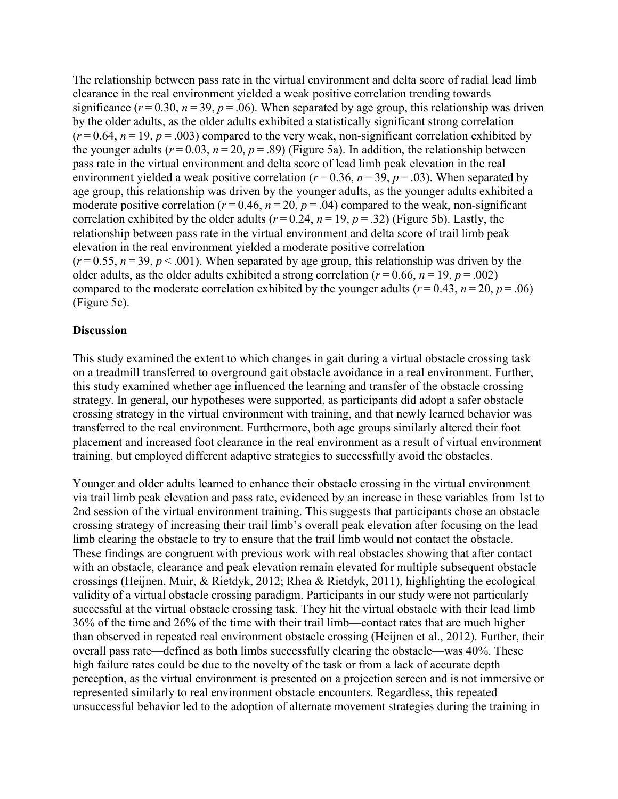The relationship between pass rate in the virtual environment and delta score of radial lead limb clearance in the real environment yielded a weak positive correlation trending towards significance ( $r = 0.30$ ,  $n = 39$ ,  $p = .06$ ). When separated by age group, this relationship was driven by the older adults, as the older adults exhibited a statistically significant strong correlation  $(r=0.64, n=19, p=.003)$  compared to the very weak, non-significant correlation exhibited by the younger adults ( $r = 0.03$ ,  $n = 20$ ,  $p = .89$ ) (Figure 5a). In addition, the relationship between pass rate in the virtual environment and delta score of lead limb peak elevation in the real environment yielded a weak positive correlation ( $r = 0.36$ ,  $n = 39$ ,  $p = .03$ ). When separated by age group, this relationship was driven by the younger adults, as the younger adults exhibited a moderate positive correlation ( $r = 0.46$ ,  $n = 20$ ,  $p = .04$ ) compared to the weak, non-significant correlation exhibited by the older adults ( $r = 0.24$ ,  $n = 19$ ,  $p = .32$ ) (Figure 5b). Lastly, the relationship between pass rate in the virtual environment and delta score of trail limb peak elevation in the real environment yielded a moderate positive correlation  $(r=0.55, n=39, p<.001)$ . When separated by age group, this relationship was driven by the older adults, as the older adults exhibited a strong correlation ( $r = 0.66$ ,  $n = 19$ ,  $p = .002$ ) compared to the moderate correlation exhibited by the younger adults ( $r = 0.43$ ,  $n = 20$ ,  $p = .06$ ) (Figure 5c).

#### **Discussion**

This study examined the extent to which changes in gait during a virtual obstacle crossing task on a treadmill transferred to overground gait obstacle avoidance in a real environment. Further, this study examined whether age influenced the learning and transfer of the obstacle crossing strategy. In general, our hypotheses were supported, as participants did adopt a safer obstacle crossing strategy in the virtual environment with training, and that newly learned behavior was transferred to the real environment. Furthermore, both age groups similarly altered their foot placement and increased foot clearance in the real environment as a result of virtual environment training, but employed different adaptive strategies to successfully avoid the obstacles.

Younger and older adults learned to enhance their obstacle crossing in the virtual environment via trail limb peak elevation and pass rate, evidenced by an increase in these variables from 1st to 2nd session of the virtual environment training. This suggests that participants chose an obstacle crossing strategy of increasing their trail limb's overall peak elevation after focusing on the lead limb clearing the obstacle to try to ensure that the trail limb would not contact the obstacle. These findings are congruent with previous work with real obstacles showing that after contact with an obstacle, clearance and peak elevation remain elevated for multiple subsequent obstacle crossings (Heijnen, Muir, & Rietdyk, 2012; Rhea & Rietdyk, 2011), highlighting the ecological validity of a virtual obstacle crossing paradigm. Participants in our study were not particularly successful at the virtual obstacle crossing task. They hit the virtual obstacle with their lead limb 36% of the time and 26% of the time with their trail limb—contact rates that are much higher than observed in repeated real environment obstacle crossing (Heijnen et al., 2012). Further, their overall pass rate—defined as both limbs successfully clearing the obstacle—was 40%. These high failure rates could be due to the novelty of the task or from a lack of accurate depth perception, as the virtual environment is presented on a projection screen and is not immersive or represented similarly to real environment obstacle encounters. Regardless, this repeated unsuccessful behavior led to the adoption of alternate movement strategies during the training in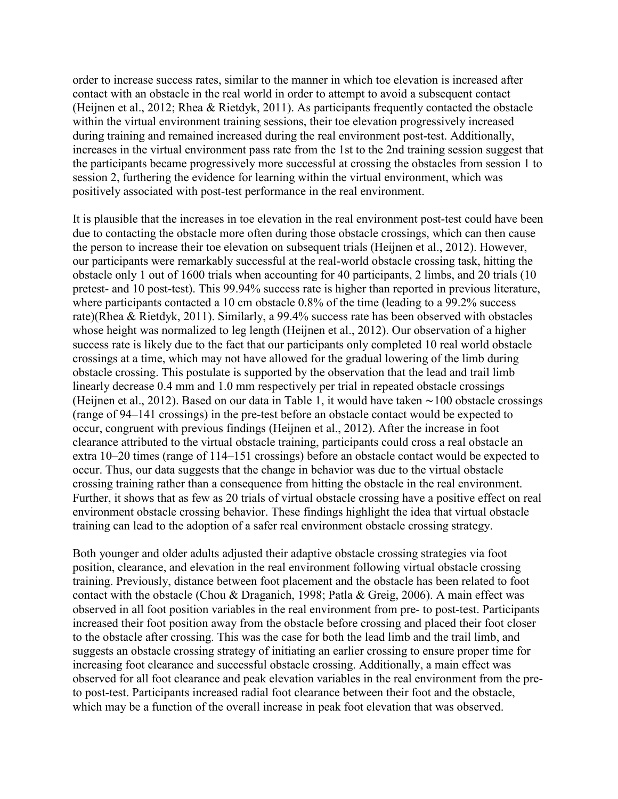order to increase success rates, similar to the manner in which toe elevation is increased after contact with an obstacle in the real world in order to attempt to avoid a subsequent contact (Heijnen et al., 2012; Rhea & Rietdyk, 2011). As participants frequently contacted the obstacle within the virtual environment training sessions, their toe elevation progressively increased during training and remained increased during the real environment post-test. Additionally, increases in the virtual environment pass rate from the 1st to the 2nd training session suggest that the participants became progressively more successful at crossing the obstacles from session 1 to session 2, furthering the evidence for learning within the virtual environment, which was positively associated with post-test performance in the real environment.

It is plausible that the increases in toe elevation in the real environment post-test could have been due to contacting the obstacle more often during those obstacle crossings, which can then cause the person to increase their toe elevation on subsequent trials (Heijnen et al., 2012). However, our participants were remarkably successful at the real-world obstacle crossing task, hitting the obstacle only 1 out of 1600 trials when accounting for 40 participants, 2 limbs, and 20 trials (10 pretest- and 10 post-test). This 99.94% success rate is higher than reported in previous literature, where participants contacted a 10 cm obstacle 0.8% of the time (leading to a 99.2% success rate)(Rhea & Rietdyk, 2011). Similarly, a 99.4% success rate has been observed with obstacles whose height was normalized to leg length (Heijnen et al., 2012). Our observation of a higher success rate is likely due to the fact that our participants only completed 10 real world obstacle crossings at a time, which may not have allowed for the gradual lowering of the limb during obstacle crossing. This postulate is supported by the observation that the lead and trail limb linearly decrease 0.4 mm and 1.0 mm respectively per trial in repeated obstacle crossings (Heijnen et al., 2012). Based on our data in Table 1, it would have taken ∼100 obstacle crossings (range of 94–141 crossings) in the pre-test before an obstacle contact would be expected to occur, congruent with previous findings (Heijnen et al., 2012). After the increase in foot clearance attributed to the virtual obstacle training, participants could cross a real obstacle an extra 10–20 times (range of 114–151 crossings) before an obstacle contact would be expected to occur. Thus, our data suggests that the change in behavior was due to the virtual obstacle crossing training rather than a consequence from hitting the obstacle in the real environment. Further, it shows that as few as 20 trials of virtual obstacle crossing have a positive effect on real environment obstacle crossing behavior. These findings highlight the idea that virtual obstacle training can lead to the adoption of a safer real environment obstacle crossing strategy.

Both younger and older adults adjusted their adaptive obstacle crossing strategies via foot position, clearance, and elevation in the real environment following virtual obstacle crossing training. Previously, distance between foot placement and the obstacle has been related to foot contact with the obstacle (Chou & Draganich, 1998; Patla & Greig, 2006). A main effect was observed in all foot position variables in the real environment from pre- to post-test. Participants increased their foot position away from the obstacle before crossing and placed their foot closer to the obstacle after crossing. This was the case for both the lead limb and the trail limb, and suggests an obstacle crossing strategy of initiating an earlier crossing to ensure proper time for increasing foot clearance and successful obstacle crossing. Additionally, a main effect was observed for all foot clearance and peak elevation variables in the real environment from the preto post-test. Participants increased radial foot clearance between their foot and the obstacle, which may be a function of the overall increase in peak foot elevation that was observed.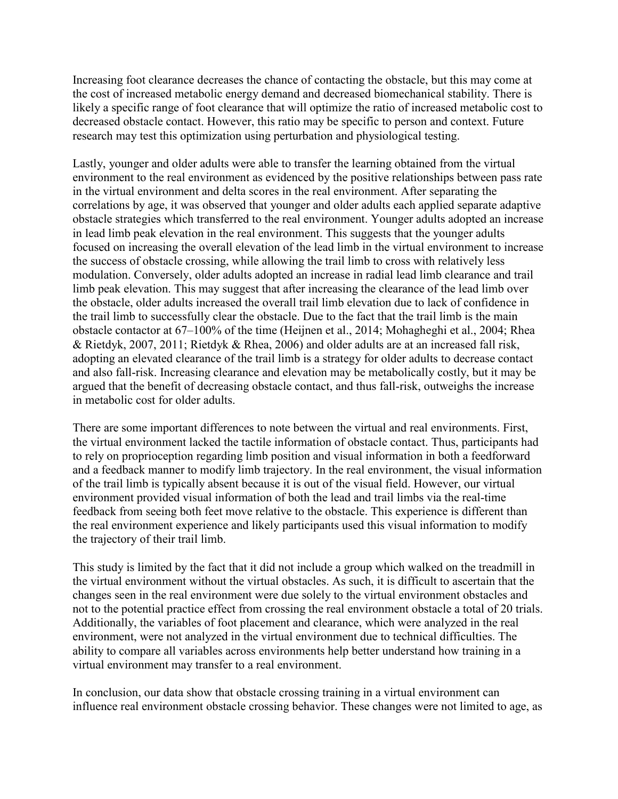Increasing foot clearance decreases the chance of contacting the obstacle, but this may come at the cost of increased metabolic energy demand and decreased biomechanical stability. There is likely a specific range of foot clearance that will optimize the ratio of increased metabolic cost to decreased obstacle contact. However, this ratio may be specific to person and context. Future research may test this optimization using perturbation and physiological testing.

Lastly, younger and older adults were able to transfer the learning obtained from the virtual environment to the real environment as evidenced by the positive relationships between pass rate in the virtual environment and delta scores in the real environment. After separating the correlations by age, it was observed that younger and older adults each applied separate adaptive obstacle strategies which transferred to the real environment. Younger adults adopted an increase in lead limb peak elevation in the real environment. This suggests that the younger adults focused on increasing the overall elevation of the lead limb in the virtual environment to increase the success of obstacle crossing, while allowing the trail limb to cross with relatively less modulation. Conversely, older adults adopted an increase in radial lead limb clearance and trail limb peak elevation. This may suggest that after increasing the clearance of the lead limb over the obstacle, older adults increased the overall trail limb elevation due to lack of confidence in the trail limb to successfully clear the obstacle. Due to the fact that the trail limb is the main obstacle contactor at 67–100% of the time (Heijnen et al., 2014; Mohagheghi et al., 2004; Rhea & Rietdyk, 2007, 2011; Rietdyk & Rhea, 2006) and older adults are at an increased fall risk, adopting an elevated clearance of the trail limb is a strategy for older adults to decrease contact and also fall-risk. Increasing clearance and elevation may be metabolically costly, but it may be argued that the benefit of decreasing obstacle contact, and thus fall-risk, outweighs the increase in metabolic cost for older adults.

There are some important differences to note between the virtual and real environments. First, the virtual environment lacked the tactile information of obstacle contact. Thus, participants had to rely on proprioception regarding limb position and visual information in both a feedforward and a feedback manner to modify limb trajectory. In the real environment, the visual information of the trail limb is typically absent because it is out of the visual field. However, our virtual environment provided visual information of both the lead and trail limbs via the real-time feedback from seeing both feet move relative to the obstacle. This experience is different than the real environment experience and likely participants used this visual information to modify the trajectory of their trail limb.

This study is limited by the fact that it did not include a group which walked on the treadmill in the virtual environment without the virtual obstacles. As such, it is difficult to ascertain that the changes seen in the real environment were due solely to the virtual environment obstacles and not to the potential practice effect from crossing the real environment obstacle a total of 20 trials. Additionally, the variables of foot placement and clearance, which were analyzed in the real environment, were not analyzed in the virtual environment due to technical difficulties. The ability to compare all variables across environments help better understand how training in a virtual environment may transfer to a real environment.

In conclusion, our data show that obstacle crossing training in a virtual environment can influence real environment obstacle crossing behavior. These changes were not limited to age, as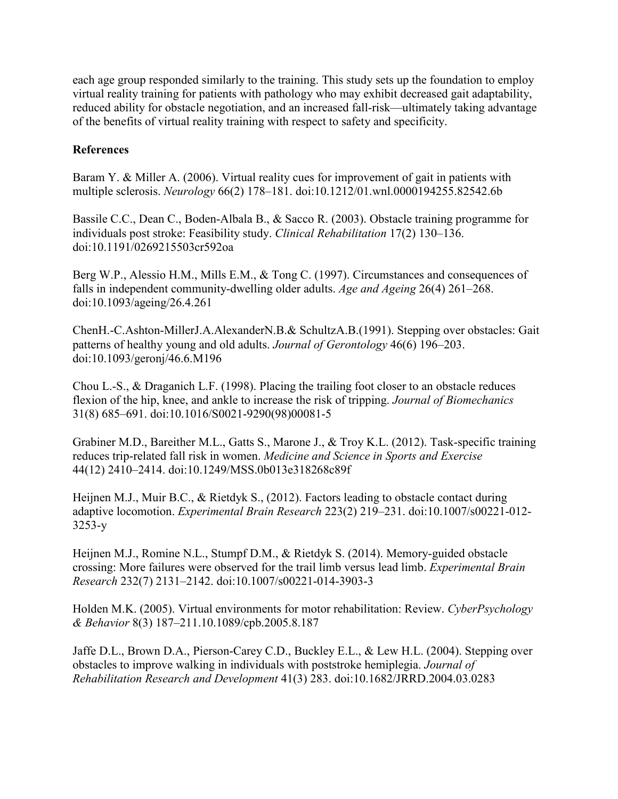each age group responded similarly to the training. This study sets up the foundation to employ virtual reality training for patients with pathology who may exhibit decreased gait adaptability, reduced ability for obstacle negotiation, and an increased fall-risk—ultimately taking advantage of the benefits of virtual reality training with respect to safety and specificity.

# **References**

Baram Y. & Miller A. (2006). Virtual reality cues for improvement of gait in patients with multiple sclerosis. *Neurology* 66(2) 178–181. doi:10.1212/01.wnl.0000194255.82542.6b

Bassile C.C., Dean C., Boden-Albala B., & Sacco R. (2003). Obstacle training programme for individuals post stroke: Feasibility study. *Clinical Rehabilitation* 17(2) 130–136. doi:10.1191/0269215503cr592oa

Berg W.P., Alessio H.M., Mills E.M., & Tong C. (1997). Circumstances and consequences of falls in independent community-dwelling older adults. *Age and Ageing* 26(4) 261–268. doi:10.1093/ageing/26.4.261

ChenH.-C.Ashton-MillerJ.A.AlexanderN.B.& SchultzA.B.(1991). Stepping over obstacles: Gait patterns of healthy young and old adults. *Journal of Gerontology* 46(6) 196–203. doi:10.1093/geronj/46.6.M196

Chou L.-S., & Draganich L.F. (1998). Placing the trailing foot closer to an obstacle reduces flexion of the hip, knee, and ankle to increase the risk of tripping. *Journal of Biomechanics* 31(8) 685–691. doi:10.1016/S0021-9290(98)00081-5

Grabiner M.D., Bareither M.L., Gatts S., Marone J., & Troy K.L. (2012). Task-specific training reduces trip-related fall risk in women. *Medicine and Science in Sports and Exercise* 44(12) 2410–2414. doi:10.1249/MSS.0b013e318268c89f

Heijnen M.J., Muir B.C., & Rietdyk S., (2012). Factors leading to obstacle contact during adaptive locomotion. *Experimental Brain Research* 223(2) 219–231. doi:10.1007/s00221-012- 3253-y

Heijnen M.J., Romine N.L., Stumpf D.M., & Rietdyk S. (2014). Memory-guided obstacle crossing: More failures were observed for the trail limb versus lead limb. *Experimental Brain Research* 232(7) 2131–2142. doi:10.1007/s00221-014-3903-3

Holden M.K. (2005). Virtual environments for motor rehabilitation: Review. *CyberPsychology & Behavior* 8(3) 187–211.10.1089/cpb.2005.8.187

Jaffe D.L., Brown D.A., Pierson-Carey C.D., Buckley E.L., & Lew H.L. (2004). Stepping over obstacles to improve walking in individuals with poststroke hemiplegia. *Journal of Rehabilitation Research and Development* 41(3) 283. doi:10.1682/JRRD.2004.03.0283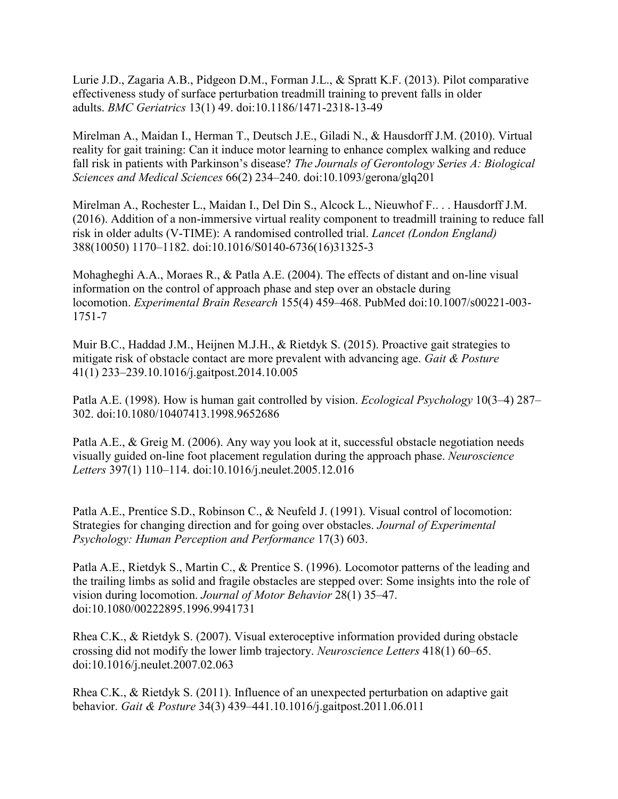Lurie J.D., Zagaria A.B., Pidgeon D.M., Forman J.L., & Spratt K.F. (2013). Pilot comparative effectiveness study of surface perturbation treadmill training to prevent falls in older adults. *BMC Geriatrics* 13(1) 49. doi:10.1186/1471-2318-13-49

Mirelman A., Maidan I., Herman T., Deutsch J.E., Giladi N., & Hausdorff J.M. (2010). Virtual reality for gait training: Can it induce motor learning to enhance complex walking and reduce fall risk in patients with Parkinson's disease? *The Journals of Gerontology Series A: Biological Sciences and Medical Sciences* 66(2) 234–240. doi:10.1093/gerona/glq201

Mirelman A., Rochester L., Maidan I., Del Din S., Alcock L., Nieuwhof F.. . . Hausdorff J.M. (2016). Addition of a non-immersive virtual reality component to treadmill training to reduce fall risk in older adults (V-TIME): A randomised controlled trial. *Lancet (London England)* 388(10050) 1170–1182. doi:10.1016/S0140-6736(16)31325-3

Mohagheghi A.A., Moraes R., & Patla A.E. (2004). The effects of distant and on-line visual information on the control of approach phase and step over an obstacle during locomotion. *Experimental Brain Research* 155(4) 459–468. PubMed doi:10.1007/s00221-003- 1751-7

Muir B.C., Haddad J.M., Heijnen M.J.H., & Rietdyk S. (2015). Proactive gait strategies to mitigate risk of obstacle contact are more prevalent with advancing age. *Gait & Posture* 41(1) 233–239.10.1016/j.gaitpost.2014.10.005

Patla A.E. (1998). How is human gait controlled by vision. *Ecological Psychology* 10(3–4) 287– 302. doi:10.1080/10407413.1998.9652686

Patla A.E., & Greig M. (2006). Any way you look at it, successful obstacle negotiation needs visually guided on-line foot placement regulation during the approach phase. *Neuroscience Letters* 397(1) 110–114. doi:10.1016/j.neulet.2005.12.016

Patla A.E., Prentice S.D., Robinson C., & Neufeld J. (1991). Visual control of locomotion: Strategies for changing direction and for going over obstacles. *Journal of Experimental Psychology: Human Perception and Performance* 17(3) 603.

Patla A.E., Rietdyk S., Martin C., & Prentice S. (1996). Locomotor patterns of the leading and the trailing limbs as solid and fragile obstacles are stepped over: Some insights into the role of vision during locomotion. *Journal of Motor Behavior* 28(1) 35–47. doi:10.1080/00222895.1996.9941731

Rhea C.K., & Rietdyk S. (2007). Visual exteroceptive information provided during obstacle crossing did not modify the lower limb trajectory. *Neuroscience Letters* 418(1) 60–65. doi:10.1016/j.neulet.2007.02.063

Rhea C.K., & Rietdyk S. (2011). Influence of an unexpected perturbation on adaptive gait behavior. *Gait & Posture* 34(3) 439–441.10.1016/j.gaitpost.2011.06.011